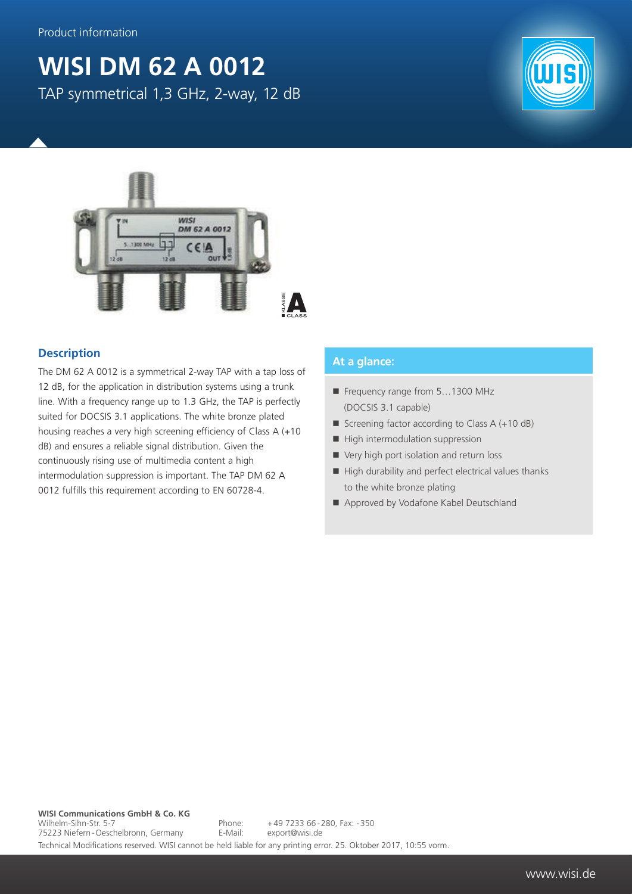## **WISI DM 62 A 0012** TAP symmetrical 1,3 GHz, 2-way, 12 dB





## **Description**

The DM 62 A 0012 is a symmetrical 2-way TAP with a tap loss of 12 dB, for the application in distribution systems using a trunk line. With a frequency range up to 1.3 GHz, the TAP is perfectly suited for DOCSIS 3.1 applications. The white bronze plated housing reaches a very high screening efficiency of Class A (+10 dB) and ensures a reliable signal distribution. Given the continuously rising use of multimedia content a high intermodulation suppression is important. The TAP DM 62 A 0012 fulfills this requirement according to EN 60728-4.

## **At a glance:**

- Frequency range from 5...1300 MHz (DOCSIS 3.1 capable)
- Screening factor according to Class  $A (+10 dB)$
- $\blacksquare$  High intermodulation suppression
- Very high port isolation and return loss
- $\blacksquare$  High durability and perfect electrical values thanks to the white bronze plating
- Approved by Vodafone Kabel Deutschland